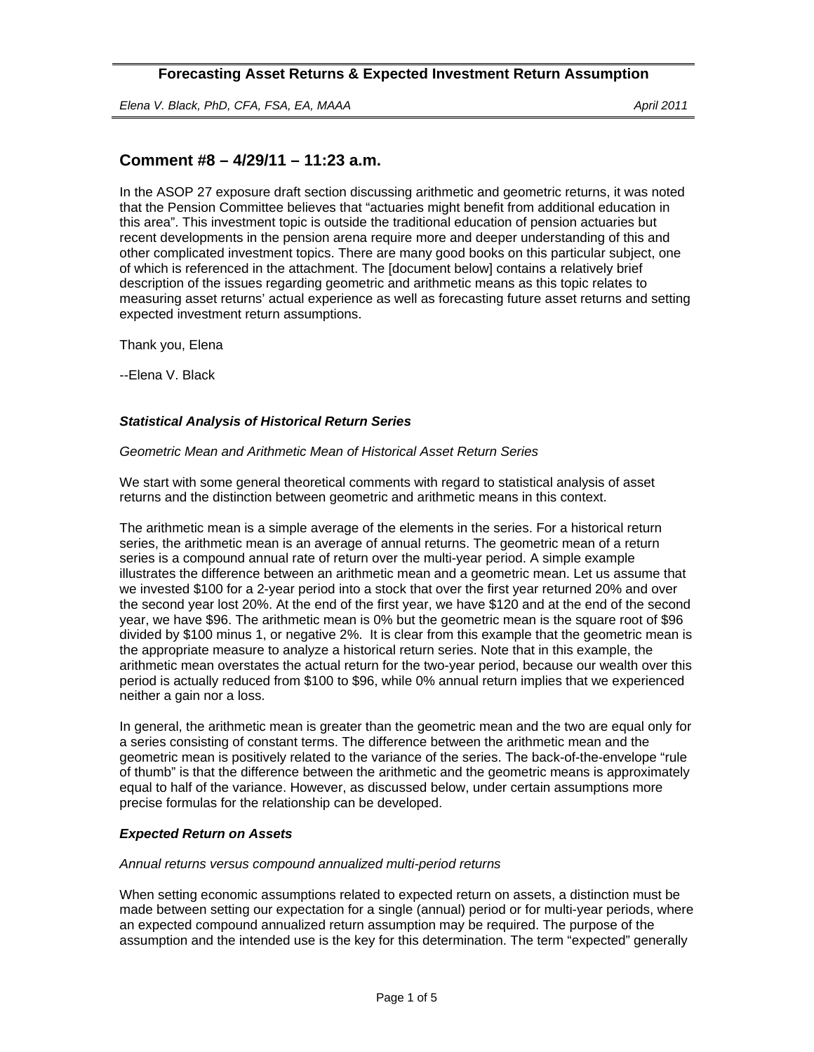*Elena V. Black, PhD, CFA, FSA, EA, MAAA April 2011* 

# **Comment #8 – 4/29/11 – 11:23 a.m.**

In the ASOP 27 exposure draft section discussing arithmetic and geometric returns, it was noted that the Pension Committee believes that "actuaries might benefit from additional education in this area". This investment topic is outside the traditional education of pension actuaries but recent developments in the pension arena require more and deeper understanding of this and other complicated investment topics. There are many good books on this particular subject, one of which is referenced in the attachment. The [document below] contains a relatively brief description of the issues regarding geometric and arithmetic means as this topic relates to measuring asset returns' actual experience as well as forecasting future asset returns and setting expected investment return assumptions.

Thank you, Elena

--Elena V. Black

### *Statistical Analysis of Historical Return Series*

#### *Geometric Mean and Arithmetic Mean of Historical Asset Return Series*

We start with some general theoretical comments with regard to statistical analysis of asset returns and the distinction between geometric and arithmetic means in this context.

The arithmetic mean is a simple average of the elements in the series. For a historical return series, the arithmetic mean is an average of annual returns. The geometric mean of a return series is a compound annual rate of return over the multi-year period. A simple example illustrates the difference between an arithmetic mean and a geometric mean. Let us assume that we invested \$100 for a 2-year period into a stock that over the first year returned 20% and over the second year lost 20%. At the end of the first year, we have \$120 and at the end of the second year, we have \$96. The arithmetic mean is 0% but the geometric mean is the square root of \$96 divided by \$100 minus 1, or negative 2%. It is clear from this example that the geometric mean is the appropriate measure to analyze a historical return series. Note that in this example, the arithmetic mean overstates the actual return for the two-year period, because our wealth over this period is actually reduced from \$100 to \$96, while 0% annual return implies that we experienced neither a gain nor a loss.

In general, the arithmetic mean is greater than the geometric mean and the two are equal only for a series consisting of constant terms. The difference between the arithmetic mean and the geometric mean is positively related to the variance of the series. The back-of-the-envelope "rule of thumb" is that the difference between the arithmetic and the geometric means is approximately equal to half of the variance. However, as discussed below, under certain assumptions more precise formulas for the relationship can be developed.

### *Expected Return on Assets*

### *Annual returns versus compound annualized multi-period returns*

When setting economic assumptions related to expected return on assets, a distinction must be made between setting our expectation for a single (annual) period or for multi-year periods, where an expected compound annualized return assumption may be required. The purpose of the assumption and the intended use is the key for this determination. The term "expected" generally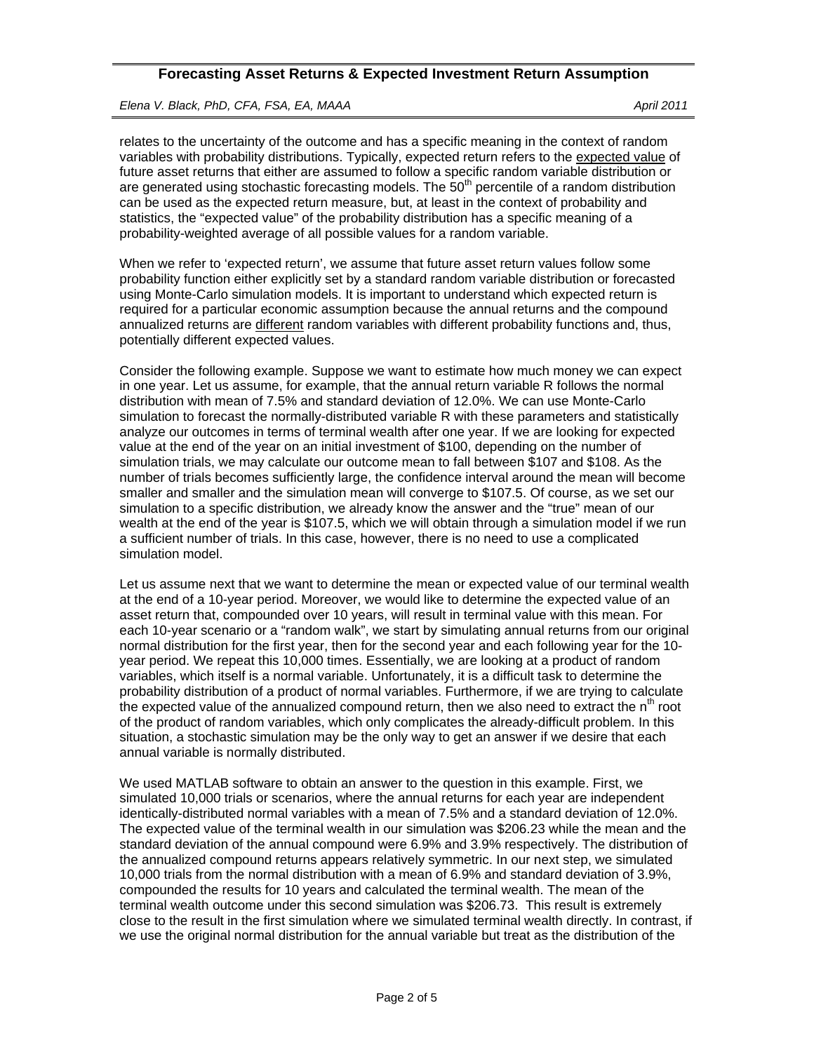*Elena V. Black, PhD, CFA, FSA, EA, MAAA April 2011* 

relates to the uncertainty of the outcome and has a specific meaning in the context of random variables with probability distributions. Typically, expected return refers to the expected value of future asset returns that either are assumed to follow a specific random variable distribution or are generated using stochastic forecasting models. The 50<sup>th</sup> percentile of a random distribution can be used as the expected return measure, but, at least in the context of probability and statistics, the "expected value" of the probability distribution has a specific meaning of a probability-weighted average of all possible values for a random variable.

When we refer to 'expected return', we assume that future asset return values follow some probability function either explicitly set by a standard random variable distribution or forecasted using Monte-Carlo simulation models. It is important to understand which expected return is required for a particular economic assumption because the annual returns and the compound annualized returns are different random variables with different probability functions and, thus, potentially different expected values.

Consider the following example. Suppose we want to estimate how much money we can expect in one year. Let us assume, for example, that the annual return variable R follows the normal distribution with mean of 7.5% and standard deviation of 12.0%. We can use Monte-Carlo simulation to forecast the normally-distributed variable R with these parameters and statistically analyze our outcomes in terms of terminal wealth after one year. If we are looking for expected value at the end of the year on an initial investment of \$100, depending on the number of simulation trials, we may calculate our outcome mean to fall between \$107 and \$108. As the number of trials becomes sufficiently large, the confidence interval around the mean will become smaller and smaller and the simulation mean will converge to \$107.5. Of course, as we set our simulation to a specific distribution, we already know the answer and the "true" mean of our wealth at the end of the year is \$107.5, which we will obtain through a simulation model if we run a sufficient number of trials. In this case, however, there is no need to use a complicated simulation model.

Let us assume next that we want to determine the mean or expected value of our terminal wealth at the end of a 10-year period. Moreover, we would like to determine the expected value of an asset return that, compounded over 10 years, will result in terminal value with this mean. For each 10-year scenario or a "random walk", we start by simulating annual returns from our original normal distribution for the first year, then for the second year and each following year for the 10 year period. We repeat this 10,000 times. Essentially, we are looking at a product of random variables, which itself is a normal variable. Unfortunately, it is a difficult task to determine the probability distribution of a product of normal variables. Furthermore, if we are trying to calculate the expected value of the annualized compound return, then we also need to extract the n<sup>th</sup> root of the product of random variables, which only complicates the already-difficult problem. In this situation, a stochastic simulation may be the only way to get an answer if we desire that each annual variable is normally distributed.

We used MATLAB software to obtain an answer to the question in this example. First, we simulated 10,000 trials or scenarios, where the annual returns for each year are independent identically-distributed normal variables with a mean of 7.5% and a standard deviation of 12.0%. The expected value of the terminal wealth in our simulation was \$206.23 while the mean and the standard deviation of the annual compound were 6.9% and 3.9% respectively. The distribution of the annualized compound returns appears relatively symmetric. In our next step, we simulated 10,000 trials from the normal distribution with a mean of 6.9% and standard deviation of 3.9%, compounded the results for 10 years and calculated the terminal wealth. The mean of the terminal wealth outcome under this second simulation was \$206.73. This result is extremely close to the result in the first simulation where we simulated terminal wealth directly. In contrast, if we use the original normal distribution for the annual variable but treat as the distribution of the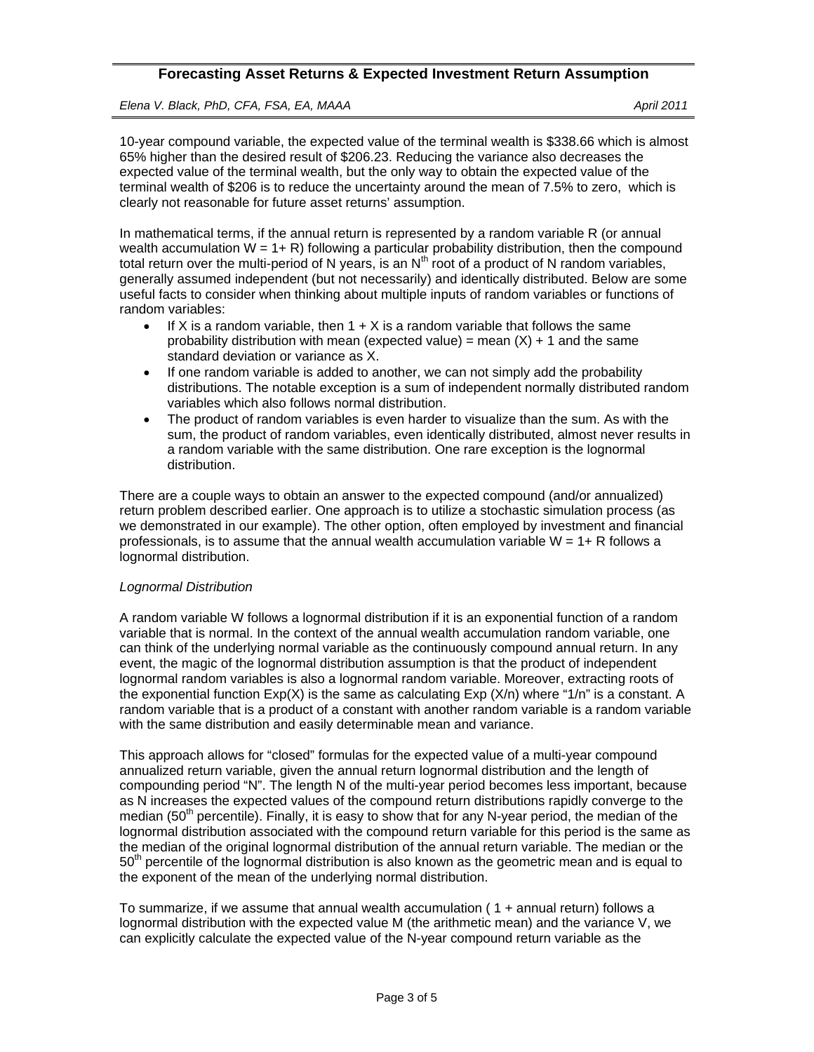*Elena V. Black, PhD, CFA, FSA, EA, MAAA April 2011* 

10-year compound variable, the expected value of the terminal wealth is \$338.66 which is almost 65% higher than the desired result of \$206.23. Reducing the variance also decreases the expected value of the terminal wealth, but the only way to obtain the expected value of the terminal wealth of \$206 is to reduce the uncertainty around the mean of 7.5% to zero, which is clearly not reasonable for future asset returns' assumption.

In mathematical terms, if the annual return is represented by a random variable R (or annual wealth accumulation  $W = 1 + R$ ) following a particular probability distribution, then the compound total return over the multi-period of N years, is an  $N^{th}$  root of a product of N random variables. generally assumed independent (but not necessarily) and identically distributed. Below are some useful facts to consider when thinking about multiple inputs of random variables or functions of random variables:

- If X is a random variable, then  $1 + X$  is a random variable that follows the same probability distribution with mean (expected value) = mean  $(X) + 1$  and the same standard deviation or variance as X.
- If one random variable is added to another, we can not simply add the probability distributions. The notable exception is a sum of independent normally distributed random variables which also follows normal distribution.
- The product of random variables is even harder to visualize than the sum. As with the sum, the product of random variables, even identically distributed, almost never results in a random variable with the same distribution. One rare exception is the lognormal distribution.

There are a couple ways to obtain an answer to the expected compound (and/or annualized) return problem described earlier. One approach is to utilize a stochastic simulation process (as we demonstrated in our example). The other option, often employed by investment and financial professionals, is to assume that the annual wealth accumulation variable  $W = 1 + R$  follows a lognormal distribution.

### *Lognormal Distribution*

A random variable W follows a lognormal distribution if it is an exponential function of a random variable that is normal. In the context of the annual wealth accumulation random variable, one can think of the underlying normal variable as the continuously compound annual return. In any event, the magic of the lognormal distribution assumption is that the product of independent lognormal random variables is also a lognormal random variable. Moreover, extracting roots of the exponential function  $Exp(X)$  is the same as calculating  $Exp(X/n)$  where "1/n" is a constant. A random variable that is a product of a constant with another random variable is a random variable with the same distribution and easily determinable mean and variance.

This approach allows for "closed" formulas for the expected value of a multi-year compound annualized return variable, given the annual return lognormal distribution and the length of compounding period "N". The length N of the multi-year period becomes less important, because as N increases the expected values of the compound return distributions rapidly converge to the median ( $50<sup>th</sup>$  percentile). Finally, it is easy to show that for any N-year period, the median of the lognormal distribution associated with the compound return variable for this period is the same as the median of the original lognormal distribution of the annual return variable. The median or the  $50<sup>th</sup>$  percentile of the lognormal distribution is also known as the geometric mean and is equal to the exponent of the mean of the underlying normal distribution.

To summarize, if we assume that annual wealth accumulation ( 1 + annual return) follows a lognormal distribution with the expected value M (the arithmetic mean) and the variance V, we can explicitly calculate the expected value of the N-year compound return variable as the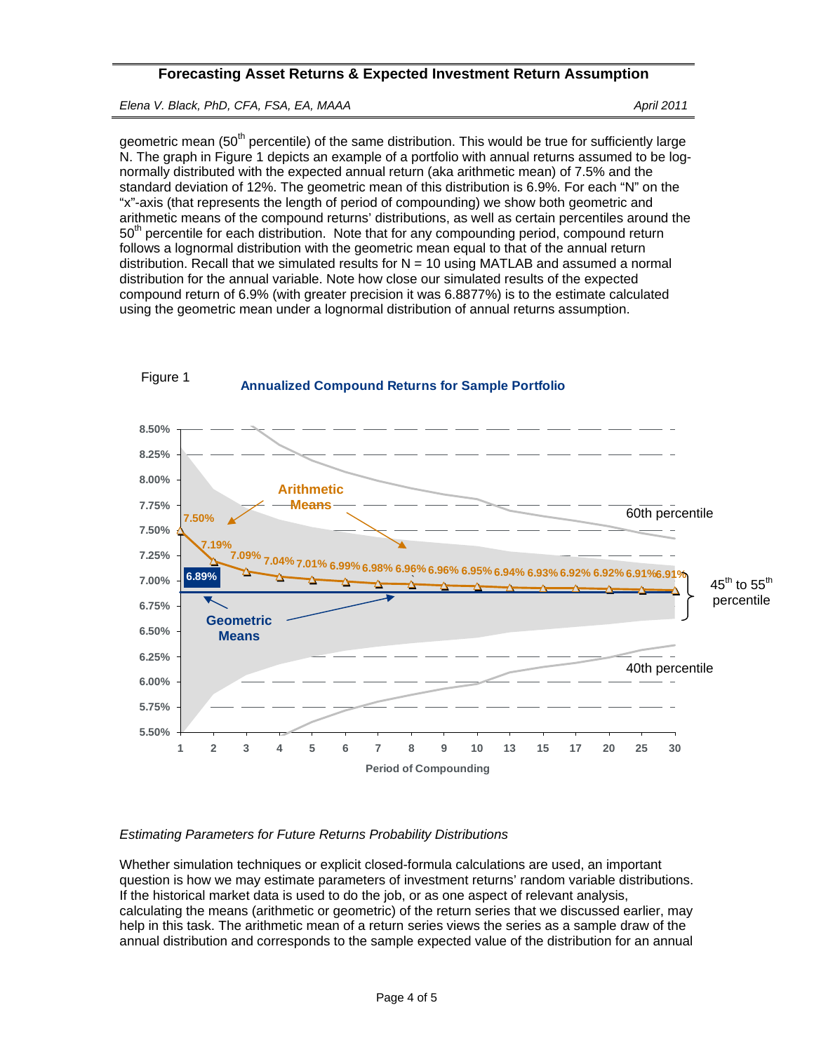*Elena V. Black, PhD, CFA, FSA, EA, MAAA April 2011* 

geometric mean (50<sup>th</sup> percentile) of the same distribution. This would be true for sufficiently large N. The graph in Figure 1 depicts an example of a portfolio with annual returns assumed to be lognormally distributed with the expected annual return (aka arithmetic mean) of 7.5% and the standard deviation of 12%. The geometric mean of this distribution is 6.9%. For each "N" on the "x"-axis (that represents the length of period of compounding) we show both geometric and arithmetic means of the compound returns' distributions, as well as certain percentiles around the 50<sup>th</sup> percentile for each distribution. Note that for any compounding period, compound return follows a lognormal distribution with the geometric mean equal to that of the annual return distribution. Recall that we simulated results for  $N = 10$  using MATLAB and assumed a normal distribution for the annual variable. Note how close our simulated results of the expected compound return of 6.9% (with greater precision it was 6.8877%) is to the estimate calculated using the geometric mean under a lognormal distribution of annual returns assumption.



### *Estimating Parameters for Future Returns Probability Distributions*

Whether simulation techniques or explicit closed-formula calculations are used, an important question is how we may estimate parameters of investment returns' random variable distributions. If the historical market data is used to do the job, or as one aspect of relevant analysis, calculating the means (arithmetic or geometric) of the return series that we discussed earlier, may help in this task. The arithmetic mean of a return series views the series as a sample draw of the annual distribution and corresponds to the sample expected value of the distribution for an annual